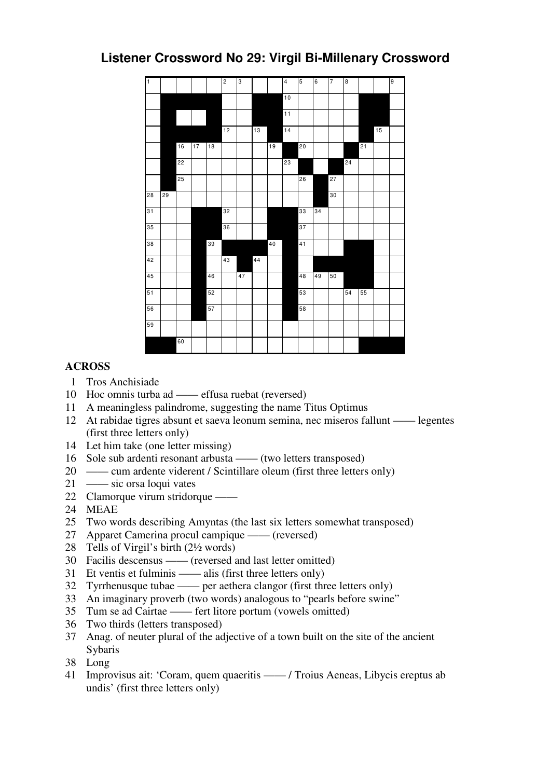## **Listener Crossword No 29: Virgil Bi-Millenary Crossword**



## **ACROSS**

- Tros Anchisiade
- Hoc omnis turba ad —— effusa ruebat (reversed)
- A meaningless palindrome, suggesting the name Titus Optimus
- At rabidae tigres absunt et saeva leonum semina, nec miseros fallunt —— legentes (first three letters only)
- Let him take (one letter missing)
- Sole sub ardenti resonant arbusta —— (two letters transposed)
- 20 —— cum ardente viderent / Scintillare oleum (first three letters only)
- 21 sic orsa loqui vates
- Clamorque virum stridorque ——
- MEAE
- Two words describing Amyntas (the last six letters somewhat transposed)
- Apparet Camerina procul campique —— (reversed)
- Tells of Virgil's birth (2½ words)
- Facilis descensus —— (reversed and last letter omitted)
- Et ventis et fulminis —— alis (first three letters only)
- Tyrrhenusque tubae —— per aethera clangor (first three letters only)
- An imaginary proverb (two words) analogous to "pearls before swine"
- Tum se ad Cairtae —— fert litore portum (vowels omitted)
- Two thirds (letters transposed)
- Anag. of neuter plural of the adjective of a town built on the site of the ancient **Sybaris**
- Long
- Improvisus ait: 'Coram, quem quaeritis —— / Troius Aeneas, Libycis ereptus ab undis' (first three letters only)